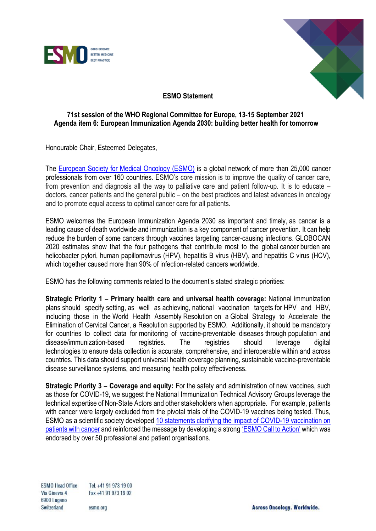



## **ESMO Statement**

## **71st session of the WHO Regional Committee for Europe, 13-15 September 2021 Agenda item 6: European Immunization Agenda 2030: building better health for tomorrow**

Honourable Chair, Esteemed Delegates,

The [European Society for Medical Oncology \(ESMO\)](https://www.esmo.org/) is a global network of more than 25,000 cancer professionals from over 160 countries. ESMO's core mission is to improve the quality of cancer care, from prevention and diagnosis all the way to palliative care and patient follow-up. It is to educate – doctors, cancer patients and the general public – on the best practices and latest advances in oncology and to promote equal access to optimal cancer care for all patients.

ESMO welcomes the European Immunization Agenda 2030 as important and timely, as cancer is a leading cause of death worldwide and immunization is a key component of cancer prevention. It can help reduce the burden of some cancers through vaccines targeting cancer-causing infections. GLOBOCAN 2020 estimates show that the four pathogens that contribute most to the global cancer burden are helicobacter pylori, human papillomavirus (HPV), hepatitis B virus (HBV), and hepatitis C virus (HCV), which together caused more than 90% of infection-related cancers worldwide.

ESMO has the following comments related to the document's stated strategic priorities:

**Strategic Priority 1 – Primary health care and universal health coverage:** National immunization plans should specify setting, as well as achieving, national vaccination targets for HPV and HBV, including those in the World Health Assembly Resolution on a Global Strategy to Accelerate the Elimination of Cervical Cancer, a Resolution supported by ESMO. Additionally, it should be mandatory for countries to collect data for monitoring of vaccine-preventable diseases through population and disease/immunization-based registries. The registries should leverage digital technologies to ensure data collection is accurate, comprehensive, and interoperable within and across countries. This data should support universal health coverage planning, sustainable vaccine-preventable disease surveillance systems, and measuring health policy effectiveness.

**Strategic Priority 3 – Coverage and equity:** For the safety and administration of new vaccines, such as those for COVID-19, we suggest the National Immunization Technical Advisory Groups leverage the technical expertise of Non-State Actors and other stakeholders when appropriate. For example, patients with cancer were largely excluded from the pivotal trials of the COVID-19 vaccines being tested. Thus, ESMO as a scientific society developed [10 statements clarifying the impact of](https://www.esmo.org/covid-19-and-cancer/covid-19-vaccination) COVID-19 vaccination on [patients with cancer](https://www.esmo.org/covid-19-and-cancer/covid-19-vaccination) and reinforced the message by developing a strong ['ESMO Call to Action'](https://www.esmo.org/policy/esmo-call-to-action-on-covid-19-vaccinations-and-patients-with-cancer-vaccinate-monitor-educate) which was endorsed by over 50 professional and patient organisations.